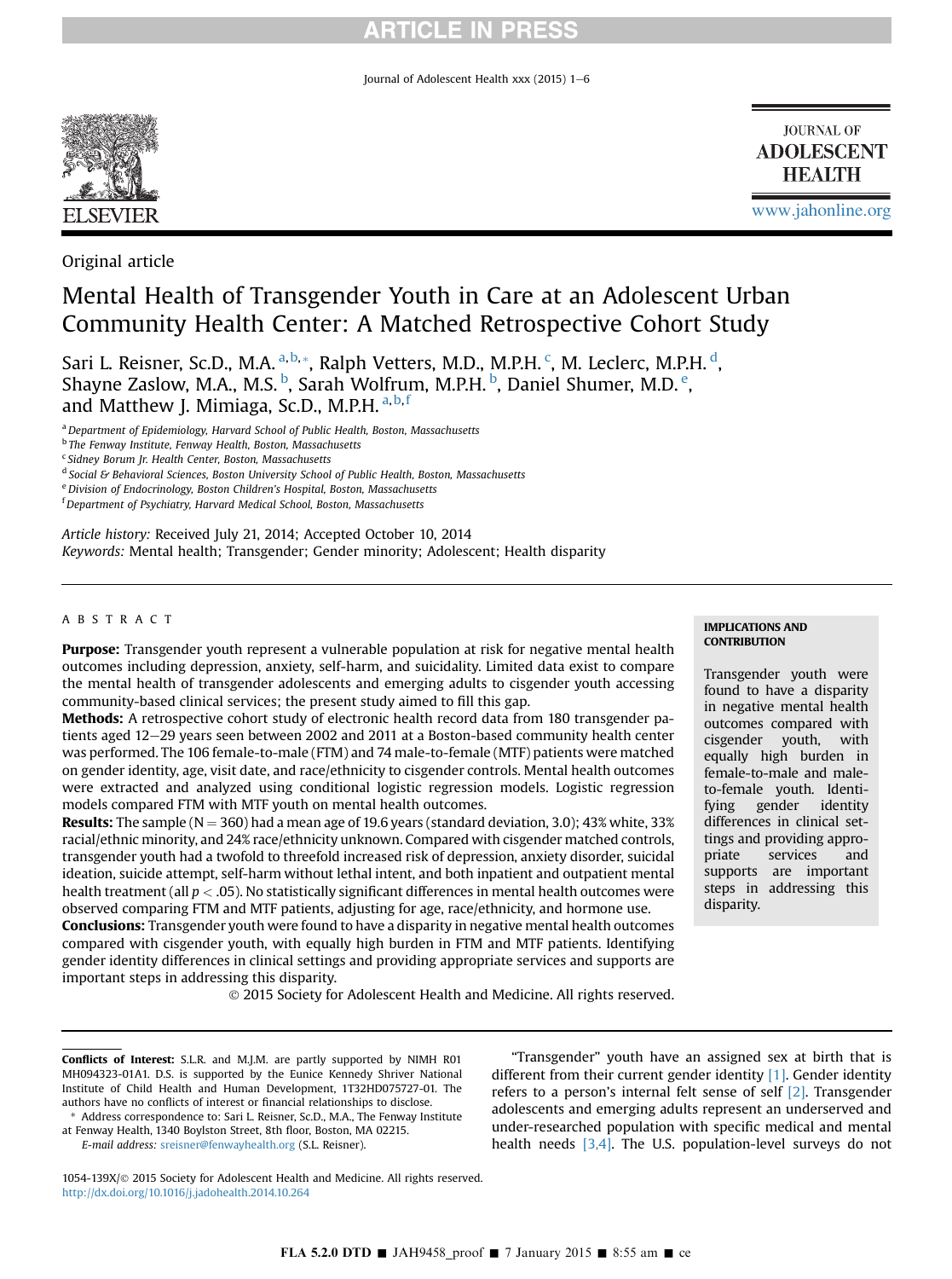Journal of Adolescent Health xxx  $(2015)$  1-6



**JOURNAL OF ADOLESCENT HEALTH** 

[www.jahonline.org](http://www.jahonline.org)

IMPLICATIONS AND **CONTRIBUTION** 

Transgender youth were found to have a disparity in negative mental health outcomes compared with cisgender youth, with equally high burden in female-to-male and maleto-female youth. Identifying gender identity differences in clinical settings and providing appropriate services and supports are important steps in addressing this

Original article

# Mental Health of Transgender Youth in Care at an Adolescent Urban Community Health Center: A Matched Retrospective Cohort Study

Sari L. Reisner, Sc.D., M.A. <sup>a,b,</sup>\*, Ralph Vetters, M.D., M.P.H. <sup>c</sup>, M. Leclerc, M.P.H. <sup>d</sup>, Shayne Zaslow, M.A., M.S. <sup>b</sup>, Sarah Wolfrum, M.P.H. <sup>b</sup>, Daniel Shumer, M.D. <sup>e</sup>, and Matthew J. Mimiaga, Sc.D., M.P.H.<sup>a,b,f</sup>

<sup>a</sup> Department of Epidemiology, Harvard School of Public Health, Boston, Massachusetts

<sup>b</sup> The Fenway Institute, Fenway Health, Boston, Massachusetts

<sup>c</sup> Sidney Borum Jr. Health Center, Boston, Massachusetts

e Division of Endocrinology, Boston Children's Hospital, Boston, Massachusetts

Article history: Received July 21, 2014; Accepted October 10, 2014 Keywords: Mental health; Transgender; Gender minority; Adolescent; Health disparity

#### ABSTRACT

Purpose: Transgender youth represent a vulnerable population at risk for negative mental health outcomes including depression, anxiety, self-harm, and suicidality. Limited data exist to compare the mental health of transgender adolescents and emerging adults to cisgender youth accessing community-based clinical services; the present study aimed to fill this gap.

Methods: A retrospective cohort study of electronic health record data from 180 transgender patients aged 12-29 years seen between 2002 and 2011 at a Boston-based community health center was performed. The 106 female-to-male (FTM) and 74 male-to-female (MTF) patients were matched on gender identity, age, visit date, and race/ethnicity to cisgender controls. Mental health outcomes were extracted and analyzed using conditional logistic regression models. Logistic regression models compared FTM with MTF youth on mental health outcomes.

**Results:** The sample ( $N = 360$ ) had a mean age of 19.6 years (standard deviation, 3.0); 43% white, 33% racial/ethnic minority, and 24% race/ethnicity unknown. Compared with cisgender matched controls, transgender youth had a twofold to threefold increased risk of depression, anxiety disorder, suicidal ideation, suicide attempt, self-harm without lethal intent, and both inpatient and outpatient mental health treatment (all  $p < .05$ ). No statistically significant differences in mental health outcomes were observed comparing FTM and MTF patients, adjusting for age, race/ethnicity, and hormone use.

Conclusions: Transgender youth were found to have a disparity in negative mental health outcomes compared with cisgender youth, with equally high burden in FTM and MTF patients. Identifying gender identity differences in clinical settings and providing appropriate services and supports are important steps in addressing this disparity.

2015 Society for Adolescent Health and Medicine. All rights reserved.

#### Conflicts of Interest: S.L.R. and M.J.M. are partly supported by NIMH R01 MH094323-01A1. D.S. is supported by the Eunice Kennedy Shriver National Institute of Child Health and Human Development, 1T32HD075727-01. The authors have no conflicts of interest or financial relationships to disclose. Address correspondence to: Sari L. Reisner, Sc.D., M.A., The Fenway Institute

at Fenway Health, 1340 Boylston Street, 8th floor, Boston, MA 02215. E-mail address: [sreisner@fenwayhealth.org](mailto:sreisner@fenwayhealth.org) (S.L. Reisner).

"Transgender" youth have an assigned sex at birth that is different from their current gender identity [\[1\].](#page-4-0) Gender identity refers to a person's internal felt sense of self [\[2\].](#page-4-0) Transgender adolescents and emerging adults represent an underserved and under-researched population with specific medical and mental health needs [\[3,4\]](#page-4-0). The U.S. population-level surveys do not

1054-139X/@ 2015 Society for Adolescent Health and Medicine. All rights reserved. <http://dx.doi.org/10.1016/j.jadohealth.2014.10.264>

# disparity.

<sup>&</sup>lt;sup>d</sup> Social & Behavioral Sciences, Boston University School of Public Health, Boston, Massachusetts

<sup>&</sup>lt;sup>f</sup> Department of Psychiatry, Harvard Medical School, Boston, Massachusetts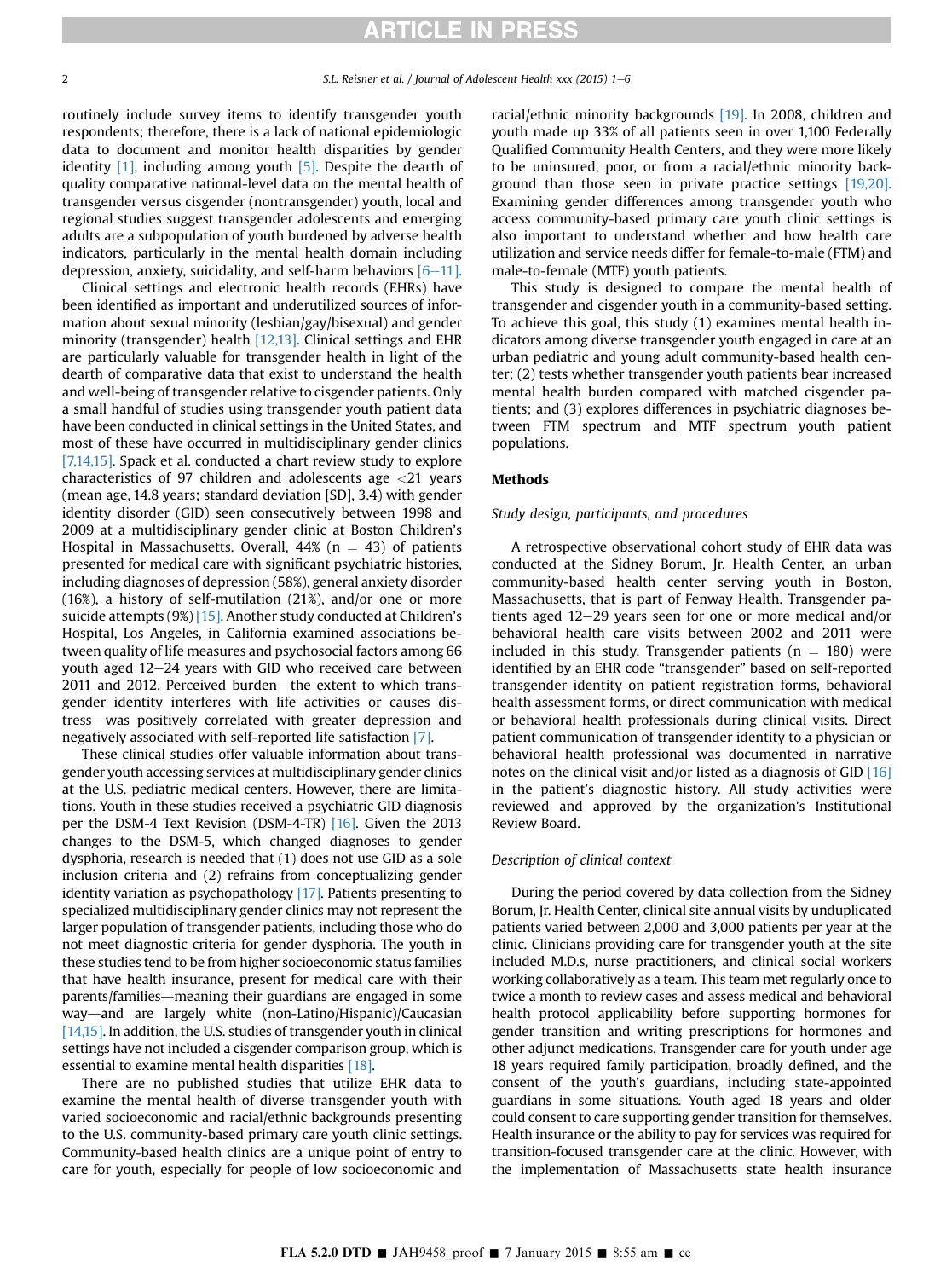routinely include survey items to identify transgender youth respondents; therefore, there is a lack of national epidemiologic data to document and monitor health disparities by gender identity  $[1]$ , including among youth  $[5]$ . Despite the dearth of quality comparative national-level data on the mental health of transgender versus cisgender (nontransgender) youth, local and regional studies suggest transgender adolescents and emerging adults are a subpopulation of youth burdened by adverse health indicators, particularly in the mental health domain including depression, anxiety, suicidality, and self-harm behaviors  $[6-11]$  $[6-11]$ .

Clinical settings and electronic health records (EHRs) have been identified as important and underutilized sources of information about sexual minority (lesbian/gay/bisexual) and gender minority (transgender) health [\[12,13\].](#page-4-0) Clinical settings and EHR are particularly valuable for transgender health in light of the dearth of comparative data that exist to understand the health and well-being of transgender relative to cisgender patients. Only a small handful of studies using transgender youth patient data have been conducted in clinical settings in the United States, and most of these have occurred in multidisciplinary gender clinics [\[7,14,15\]](#page-4-0). Spack et al. conducted a chart review study to explore characteristics of 97 children and adolescents age <21 years (mean age, 14.8 years; standard deviation [SD], 3.4) with gender identity disorder (GID) seen consecutively between 1998 and 2009 at a multidisciplinary gender clinic at Boston Children's Hospital in Massachusetts. Overall,  $44\%$  (n = 43) of patients presented for medical care with significant psychiatric histories, including diagnoses of depression (58%), general anxiety disorder (16%), a history of self-mutilation (21%), and/or one or more suicide attempts (9%) [\[15\]](#page-5-0). Another study conducted at Children's Hospital, Los Angeles, in California examined associations between quality of life measures and psychosocial factors among 66 youth aged 12-24 years with GID who received care between 2011 and 2012. Perceived burden-the extent to which transgender identity interferes with life activities or causes distress—was positively correlated with greater depression and negatively associated with self-reported life satisfaction [\[7\].](#page-4-0)

These clinical studies offer valuable information about transgender youth accessing services at multidisciplinary gender clinics at the U.S. pediatric medical centers. However, there are limitations. Youth in these studies received a psychiatric GID diagnosis per the DSM-4 Text Revision (DSM-4-TR) [\[16\]](#page-5-0). Given the 2013 changes to the DSM-5, which changed diagnoses to gender dysphoria, research is needed that (1) does not use GID as a sole inclusion criteria and (2) refrains from conceptualizing gender identity variation as psychopathology  $[17]$ . Patients presenting to specialized multidisciplinary gender clinics may not represent the larger population of transgender patients, including those who do not meet diagnostic criteria for gender dysphoria. The youth in these studies tend to be from higher socioeconomic status families that have health insurance, present for medical care with their parents/families—meaning their guardians are engaged in some way—and are largely white (non-Latino/Hispanic)/Caucasian [\[14,15\]](#page-5-0). In addition, the U.S. studies of transgender youth in clinical settings have not included a cisgender comparison group, which is essential to examine mental health disparities [\[18\]](#page-5-0).

There are no published studies that utilize EHR data to examine the mental health of diverse transgender youth with varied socioeconomic and racial/ethnic backgrounds presenting to the U.S. community-based primary care youth clinic settings. Community-based health clinics are a unique point of entry to care for youth, especially for people of low socioeconomic and

racial/ethnic minority backgrounds [\[19\].](#page-5-0) In 2008, children and youth made up 33% of all patients seen in over 1,100 Federally Qualified Community Health Centers, and they were more likely to be uninsured, poor, or from a racial/ethnic minority background than those seen in private practice settings [\[19,20\].](#page-5-0) Examining gender differences among transgender youth who access community-based primary care youth clinic settings is also important to understand whether and how health care utilization and service needs differ for female-to-male (FTM) and male-to-female (MTF) youth patients.

This study is designed to compare the mental health of transgender and cisgender youth in a community-based setting. To achieve this goal, this study (1) examines mental health indicators among diverse transgender youth engaged in care at an urban pediatric and young adult community-based health center; (2) tests whether transgender youth patients bear increased mental health burden compared with matched cisgender patients; and (3) explores differences in psychiatric diagnoses between FTM spectrum and MTF spectrum youth patient populations.

#### Methods

#### Study design, participants, and procedures

A retrospective observational cohort study of EHR data was conducted at the Sidney Borum, Jr. Health Center, an urban community-based health center serving youth in Boston, Massachusetts, that is part of Fenway Health. Transgender patients aged  $12-29$  years seen for one or more medical and/or behavioral health care visits between 2002 and 2011 were included in this study. Transgender patients ( $n = 180$ ) were identified by an EHR code "transgender" based on self-reported transgender identity on patient registration forms, behavioral health assessment forms, or direct communication with medical or behavioral health professionals during clinical visits. Direct patient communication of transgender identity to a physician or behavioral health professional was documented in narrative notes on the clinical visit and/or listed as a diagnosis of GID [\[16\]](#page-5-0) in the patient's diagnostic history. All study activities were reviewed and approved by the organization's Institutional Review Board.

#### Description of clinical context

During the period covered by data collection from the Sidney Borum, Jr. Health Center, clinical site annual visits by unduplicated patients varied between 2,000 and 3,000 patients per year at the clinic. Clinicians providing care for transgender youth at the site included M.D.s, nurse practitioners, and clinical social workers working collaboratively as a team. This team met regularly once to twice a month to review cases and assess medical and behavioral health protocol applicability before supporting hormones for gender transition and writing prescriptions for hormones and other adjunct medications. Transgender care for youth under age 18 years required family participation, broadly defined, and the consent of the youth's guardians, including state-appointed guardians in some situations. Youth aged 18 years and older could consent to care supporting gender transition for themselves. Health insurance or the ability to pay for services was required for transition-focused transgender care at the clinic. However, with the implementation of Massachusetts state health insurance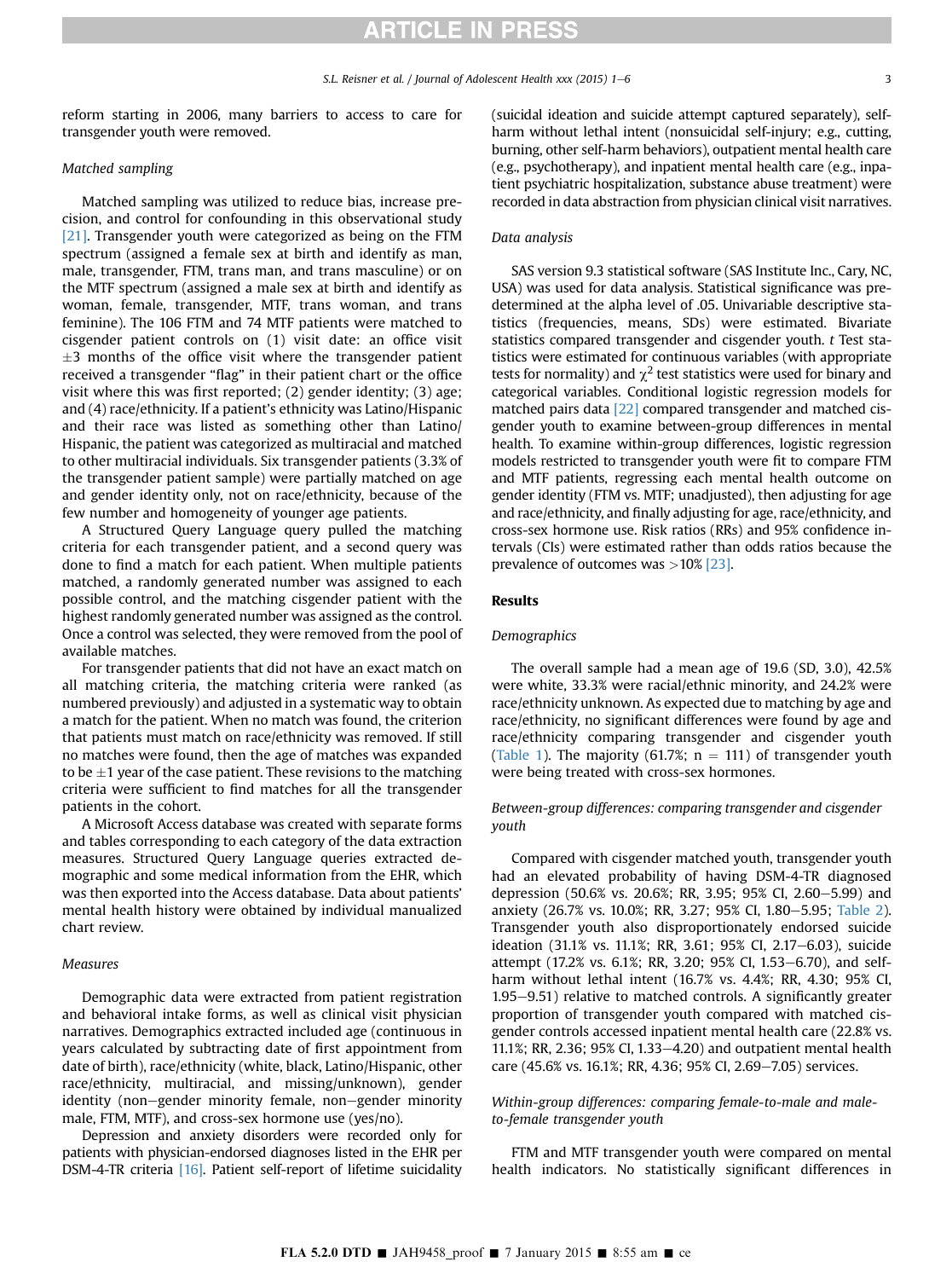reform starting in 2006, many barriers to access to care for transgender youth were removed.

#### Matched sampling

Matched sampling was utilized to reduce bias, increase precision, and control for confounding in this observational study [\[21\].](#page-5-0) Transgender youth were categorized as being on the FTM spectrum (assigned a female sex at birth and identify as man, male, transgender, FTM, trans man, and trans masculine) or on the MTF spectrum (assigned a male sex at birth and identify as woman, female, transgender, MTF, trans woman, and trans feminine). The 106 FTM and 74 MTF patients were matched to cisgender patient controls on (1) visit date: an office visit  $\pm 3$  months of the office visit where the transgender patient received a transgender "flag" in their patient chart or the office visit where this was first reported; (2) gender identity; (3) age; and (4) race/ethnicity. If a patient's ethnicity was Latino/Hispanic and their race was listed as something other than Latino/ Hispanic, the patient was categorized as multiracial and matched to other multiracial individuals. Six transgender patients (3.3% of the transgender patient sample) were partially matched on age and gender identity only, not on race/ethnicity, because of the few number and homogeneity of younger age patients.

A Structured Query Language query pulled the matching criteria for each transgender patient, and a second query was done to find a match for each patient. When multiple patients matched, a randomly generated number was assigned to each possible control, and the matching cisgender patient with the highest randomly generated number was assigned as the control. Once a control was selected, they were removed from the pool of available matches.

For transgender patients that did not have an exact match on all matching criteria, the matching criteria were ranked (as numbered previously) and adjusted in a systematic way to obtain a match for the patient. When no match was found, the criterion that patients must match on race/ethnicity was removed. If still no matches were found, then the age of matches was expanded to be  $\pm 1$  year of the case patient. These revisions to the matching criteria were sufficient to find matches for all the transgender patients in the cohort.

A Microsoft Access database was created with separate forms and tables corresponding to each category of the data extraction measures. Structured Query Language queries extracted demographic and some medical information from the EHR, which was then exported into the Access database. Data about patients' mental health history were obtained by individual manualized chart review.

#### Measures

Demographic data were extracted from patient registration and behavioral intake forms, as well as clinical visit physician narratives. Demographics extracted included age (continuous in years calculated by subtracting date of first appointment from date of birth), race/ethnicity (white, black, Latino/Hispanic, other race/ethnicity, multiracial, and missing/unknown), gender identity (non-gender minority female, non-gender minority male, FTM, MTF), and cross-sex hormone use (yes/no).

Depression and anxiety disorders were recorded only for patients with physician-endorsed diagnoses listed in the EHR per DSM-4-TR criteria [\[16\].](#page-5-0) Patient self-report of lifetime suicidality

(suicidal ideation and suicide attempt captured separately), selfharm without lethal intent (nonsuicidal self-injury; e.g., cutting, burning, other self-harm behaviors), outpatient mental health care (e.g., psychotherapy), and inpatient mental health care (e.g., inpatient psychiatric hospitalization, substance abuse treatment) were recorded in data abstraction from physician clinical visit narratives.

#### Data analysis

SAS version 9.3 statistical software (SAS Institute Inc., Cary, NC, USA) was used for data analysis. Statistical significance was predetermined at the alpha level of .05. Univariable descriptive statistics (frequencies, means, SDs) were estimated. Bivariate statistics compared transgender and cisgender youth. t Test statistics were estimated for continuous variables (with appropriate tests for normality) and  $\chi^2$  test statistics were used for binary and categorical variables. Conditional logistic regression models for matched pairs data [\[22\]](#page-5-0) compared transgender and matched cisgender youth to examine between-group differences in mental health. To examine within-group differences, logistic regression models restricted to transgender youth were fit to compare FTM and MTF patients, regressing each mental health outcome on gender identity (FTM vs. MTF; unadjusted), then adjusting for age and race/ethnicity, and finally adjusting for age, race/ethnicity, and cross-sex hormone use. Risk ratios (RRs) and 95% confidence intervals (CIs) were estimated rather than odds ratios because the prevalence of outcomes was  $>10\%$  [\[23\]](#page-5-0).

#### Results

#### Demographics

The overall sample had a mean age of 19.6 (SD, 3.0), 42.5% were white, 33.3% were racial/ethnic minority, and 24.2% were race/ethnicity unknown. As expected due to matching by age and race/ethnicity, no significant differences were found by age and race/ethnicity comparing transgender and cisgender youth ([Table 1\)](#page-3-0). The majority (61.7%;  $n = 111$ ) of transgender youth were being treated with cross-sex hormones.

#### Between-group differences: comparing transgender and cisgender youth

Compared with cisgender matched youth, transgender youth had an elevated probability of having DSM-4-TR diagnosed depression (50.6% vs. 20.6%; RR, 3.95; 95% CI, 2.60–5.99) and anxiety (26.7% vs. 10.0%; RR, 3.27; 95% CI, 1.80–5.95; [Table 2\)](#page-3-0). Transgender youth also disproportionately endorsed suicide ideation (31.1% vs. 11.1%; RR, 3.61; 95% CI, 2.17-6.03), suicide attempt (17.2% vs. 6.1%; RR, 3.20; 95% CI, 1.53–6.70), and selfharm without lethal intent (16.7% vs. 4.4%; RR, 4.30; 95% CI,  $1.95-9.51$ ) relative to matched controls. A significantly greater proportion of transgender youth compared with matched cisgender controls accessed inpatient mental health care (22.8% vs. 11.1%; RR, 2.36; 95% CI, 1.33-4.20) and outpatient mental health care (45.6% vs. 16.1%; RR, 4.36; 95% CI, 2.69-7.05) services.

#### Within-group differences: comparing female-to-male and maleto-female transgender youth

FTM and MTF transgender youth were compared on mental health indicators. No statistically significant differences in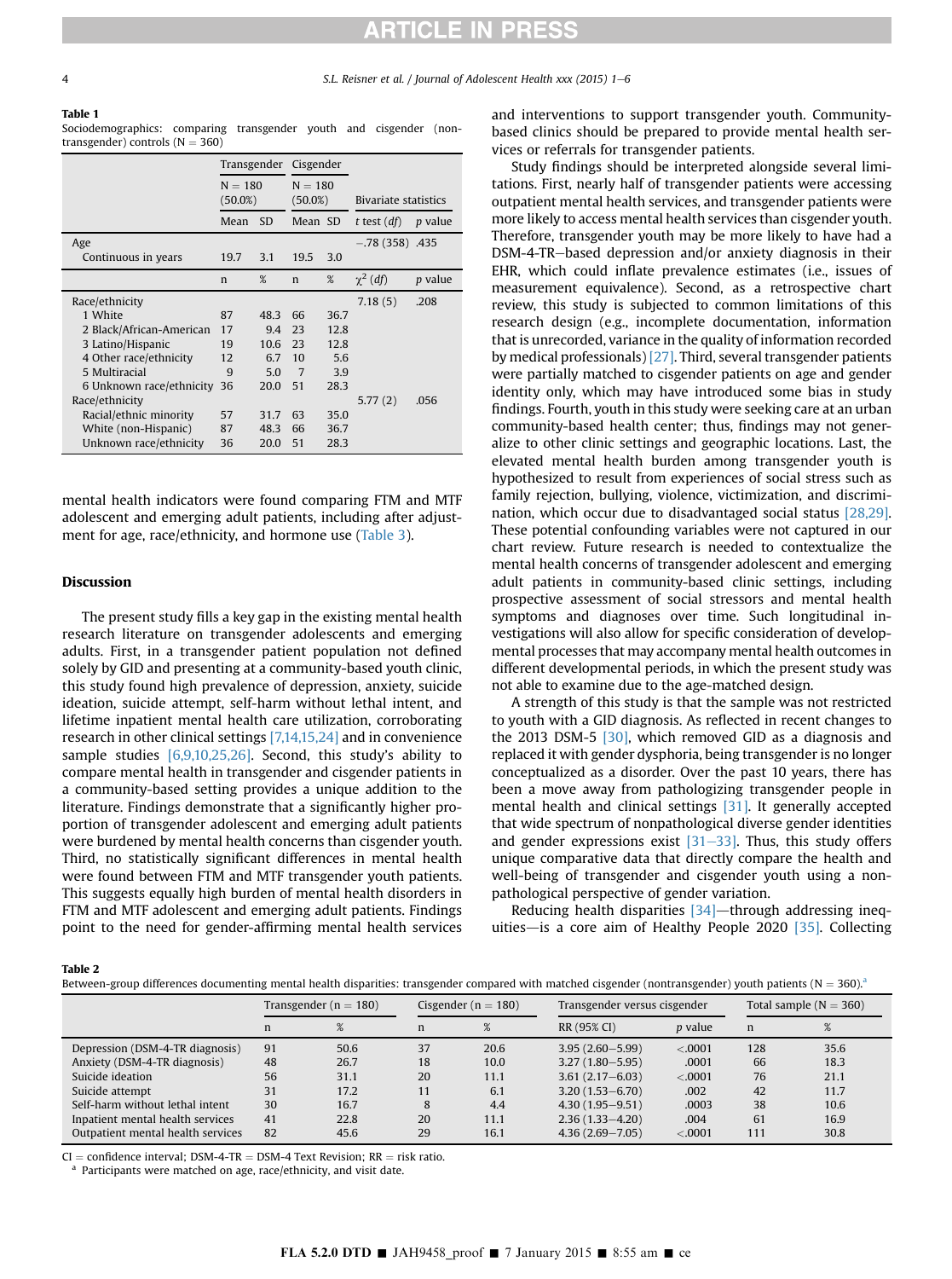#### <span id="page-3-0"></span>Table 1

Sociodemographics: comparing transgender youth and cisgender (nontransgender) controls  $(N = 360)$ 

|                          |                         |           | Transgender Cisgender   |      |                             |                |
|--------------------------|-------------------------|-----------|-------------------------|------|-----------------------------|----------------|
|                          | $N = 180$<br>$(50.0\%)$ |           | $N = 180$<br>$(50.0\%)$ |      | <b>Bivariate statistics</b> |                |
|                          | Mean                    | <b>SD</b> | Mean SD                 |      | t test $(df)$               | <i>p</i> value |
| Age                      |                         |           |                         |      | $-.78(358)$ .435            |                |
| Continuous in years      | 19.7                    | 3.1       | 19.5                    | 3.0  |                             |                |
|                          | $\mathbf n$             | %         | n                       | %    | $\chi^2$ (df)               | <i>p</i> value |
| Race/ethnicity           |                         |           |                         |      | 7.18(5)                     | .208           |
| 1 White                  | 87                      | 48.3      | 66                      | 36.7 |                             |                |
| 2 Black/African-American | 17                      | 9.4       | 23                      | 12.8 |                             |                |
| 3 Latino/Hispanic        | 19                      | 10.6      | 23                      | 12.8 |                             |                |
| 4 Other race/ethnicity   | 12                      | 6.7       | 10                      | 5.6  |                             |                |
| 5 Multiracial            | 9                       | 5.0       | $\overline{7}$          | 3.9  |                             |                |
| 6 Unknown race/ethnicity | 36                      | 20.0      | 51                      | 28.3 |                             |                |
| Race/ethnicity           |                         |           |                         |      | 5.77(2)                     | .056           |
| Racial/ethnic minority   | 57                      | 31.7      | 63                      | 35.0 |                             |                |
| White (non-Hispanic)     | 87                      | 48.3      | 66                      | 36.7 |                             |                |
| Unknown race/ethnicity   | 36                      | 20.0      | 51                      | 28.3 |                             |                |

mental health indicators were found comparing FTM and MTF adolescent and emerging adult patients, including after adjustment for age, race/ethnicity, and hormone use ([Table 3\)](#page-4-0).

#### Discussion

The present study fills a key gap in the existing mental health research literature on transgender adolescents and emerging adults. First, in a transgender patient population not defined solely by GID and presenting at a community-based youth clinic, this study found high prevalence of depression, anxiety, suicide ideation, suicide attempt, self-harm without lethal intent, and lifetime inpatient mental health care utilization, corroborating research in other clinical settings [\[7,14,15,24\]](#page-4-0) and in convenience sample studies [\[6,9,10,25,26\].](#page-4-0) Second, this study's ability to compare mental health in transgender and cisgender patients in a community-based setting provides a unique addition to the literature. Findings demonstrate that a significantly higher proportion of transgender adolescent and emerging adult patients were burdened by mental health concerns than cisgender youth. Third, no statistically significant differences in mental health were found between FTM and MTF transgender youth patients. This suggests equally high burden of mental health disorders in FTM and MTF adolescent and emerging adult patients. Findings point to the need for gender-affirming mental health services

and interventions to support transgender youth. Communitybased clinics should be prepared to provide mental health services or referrals for transgender patients.

Study findings should be interpreted alongside several limitations. First, nearly half of transgender patients were accessing outpatient mental health services, and transgender patients were more likely to access mental health services than cisgender youth. Therefore, transgender youth may be more likely to have had a DSM-4-TR-based depression and/or anxiety diagnosis in their EHR, which could inflate prevalence estimates (i.e., issues of measurement equivalence). Second, as a retrospective chart review, this study is subjected to common limitations of this research design (e.g., incomplete documentation, information that is unrecorded, variance in the quality of information recorded by medical professionals) [\[27\]](#page-5-0). Third, several transgender patients were partially matched to cisgender patients on age and gender identity only, which may have introduced some bias in study findings. Fourth, youth in this study were seeking care at an urban community-based health center; thus, findings may not generalize to other clinic settings and geographic locations. Last, the elevated mental health burden among transgender youth is hypothesized to result from experiences of social stress such as family rejection, bullying, violence, victimization, and discrimination, which occur due to disadvantaged social status [\[28,29\].](#page-5-0) These potential confounding variables were not captured in our chart review. Future research is needed to contextualize the mental health concerns of transgender adolescent and emerging adult patients in community-based clinic settings, including prospective assessment of social stressors and mental health symptoms and diagnoses over time. Such longitudinal investigations will also allow for specific consideration of developmental processes that may accompany mental health outcomes in different developmental periods, in which the present study was not able to examine due to the age-matched design.

A strength of this study is that the sample was not restricted to youth with a GID diagnosis. As reflected in recent changes to the 2013 DSM-5 [\[30\]](#page-5-0), which removed GID as a diagnosis and replaced it with gender dysphoria, being transgender is no longer conceptualized as a disorder. Over the past 10 years, there has been a move away from pathologizing transgender people in mental health and clinical settings [\[31\].](#page-5-0) It generally accepted that wide spectrum of nonpathological diverse gender identities and gender expressions exist  $[31-33]$  $[31-33]$ . Thus, this study offers unique comparative data that directly compare the health and well-being of transgender and cisgender youth using a nonpathological perspective of gender variation.

Reducing health disparities  $[34]$ —through addressing inequities-is a core aim of Healthy People 2020  $[35]$ . Collecting

Table 2

Between-group differences documenting mental health disparities: transgender compared with matched cisgender (nontransgender) youth patients  $(N = 360)^{a}$ 

|                                   | Transgender ( $n = 180$ ) |      | Cisgender ( $n = 180$ ) |      | Transgender versus cisgender |                | Total sample $(N = 360)$ |      |
|-----------------------------------|---------------------------|------|-------------------------|------|------------------------------|----------------|--------------------------|------|
|                                   | $\mathbf n$               | %    | n                       | %    | RR (95% CI)                  | <i>p</i> value | n                        |      |
| Depression (DSM-4-TR diagnosis)   | 91                        | 50.6 | 37                      | 20.6 | $3.95(2.60 - 5.99)$          | < .0001        | 128                      | 35.6 |
| Anxiety (DSM-4-TR diagnosis)      | 48                        | 26.7 | 18                      | 10.0 | $3.27(1.80 - 5.95)$          | .0001          | 66                       | 18.3 |
| Suicide ideation                  | 56                        | 31.1 | 20                      | 11.1 | $3.61(2.17 - 6.03)$          | < .0001        | 76                       | 21.1 |
| Suicide attempt                   | 31                        | 17.2 | 11                      | 6.1  | $3.20(1.53 - 6.70)$          | .002           | 42                       | 11.7 |
| Self-harm without lethal intent   | 30                        | 16.7 |                         | 4.4  | $4.30(1.95 - 9.51)$          | .0003          | 38                       | 10.6 |
| Inpatient mental health services  | 41                        | 22.8 | 20                      | 11.1 | $2.36(1.33 - 4.20)$          | .004           | 61                       | 16.9 |
| Outpatient mental health services | 82                        | 45.6 | 29                      | 16.1 | $4.36(2.69 - 7.05)$          | < .0001        | 111                      | 30.8 |

CI = confidence interval; DSM-4-TR = DSM-4 Text Revision; RR = risk ratio.  $a^a$  Participants were matched on age, race/ethnicity, and visit date.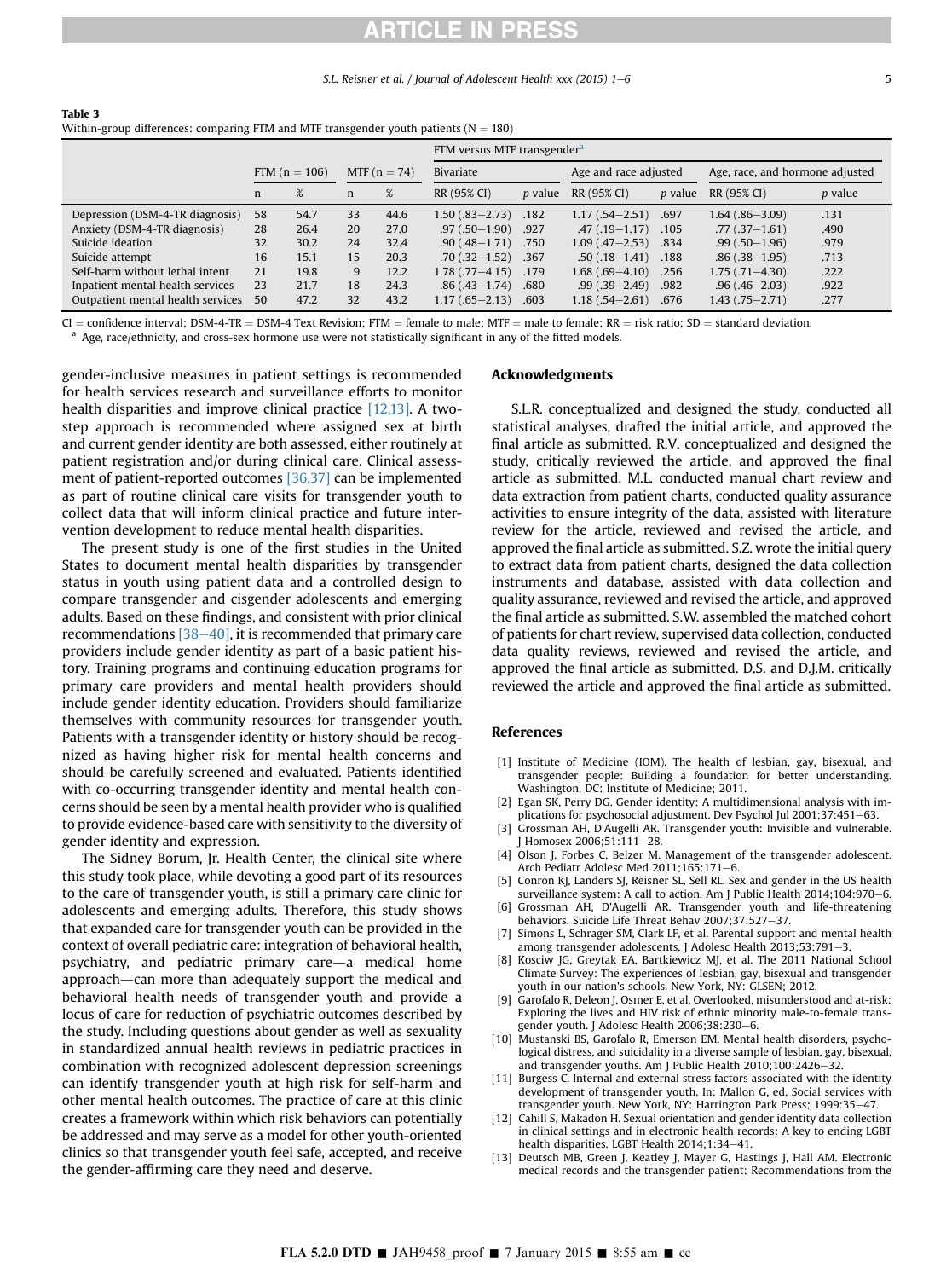S.L. Reisner et al. / Journal of Adolescent Health xxx (2015) 1–6 5

<span id="page-4-0"></span>

| Table 3                                                                                  |
|------------------------------------------------------------------------------------------|
| Within-group differences: comparing FTM and MTF transgender youth patients ( $N = 180$ ) |
| FTM versus MTF transgender <sup>a</sup>                                                  |

|                                   |    |                 |                |      | <b>FIM Versus MIF transgender</b> |                |                       |                |                                 |                |
|-----------------------------------|----|-----------------|----------------|------|-----------------------------------|----------------|-----------------------|----------------|---------------------------------|----------------|
|                                   |    | FTM $(n = 106)$ | MTF $(n = 74)$ |      | Bivariate                         |                | Age and race adjusted |                | Age, race, and hormone adjusted |                |
|                                   | n  | %               | n              | %    | RR (95% CI)                       | <i>p</i> value | RR (95% CI)           | <i>p</i> value | RR (95% CI)                     | <i>p</i> value |
| Depression (DSM-4-TR diagnosis)   | 58 | 54.7            | 33             | 44.6 | $1.50(.83 - 2.73)$                | .182           | $1.17(.54 - 2.51)$    | .697           | $1.64(.86 - 3.09)$              | .131           |
| Anxiety (DSM-4-TR diagnosis)      | 28 | 26.4            | 20             | 27.0 | $.97(.50 - 1.90)$                 | .927           | $.47(.19 - 1.17)$     | .105           | $.77(.37 - 1.61)$               | .490           |
| Suicide ideation                  | 32 | 30.2            | 24             | 32.4 | $.90(.48 - 1.71)$                 | .750           | $1.09(0.47 - 2.53)$   | .834           | $.99(.50-1.96)$                 | .979           |
| Suicide attempt                   | 16 | 15.1            | 15             | 20.3 | $.70(.32 - 1.52)$                 | .367           | $.50(0.18 - 1.41)$    | .188           | $.86(.38-1.95)$                 | .713           |
| Self-harm without lethal intent   | 21 | 19.8            | 9              | 12.2 | $1.78$ $(.77 - 4.15)$             | .179           | $1.68$ (.69-4.10)     | .256           | $1.75(0.71 - 4.30)$             | .222           |
| Inpatient mental health services  | 23 | 21.7            | 18             | 24.3 | $.86(.43 - 1.74)$                 | .680           | $.99(.39 - 2.49)$     | .982           | $.96(.46 - 2.03)$               | .922           |
| Outpatient mental health services | 50 | 47.2            | 32             | 43.2 | $1.17(.65 - 2.13)$                | .603           | $1.18(.54 - 2.61)$    | .676           | 1.43 (.75–2.71)                 | .277           |

 $CI =$  confidence interval; DSM-4-TR = DSM-4 Text Revision; FTM = female to male; MTF = male to female; RR = risk ratio; SD = standard deviation.<br><sup>a</sup> Age, race/ethnicity, and cross-sex hormone use were not statistically sig

gender-inclusive measures in patient settings is recommended for health services research and surveillance efforts to monitor health disparities and improve clinical practice [12,13]. A twostep approach is recommended where assigned sex at birth and current gender identity are both assessed, either routinely at patient registration and/or during clinical care. Clinical assessment of patient-reported outcomes [\[36,37\]](#page-5-0) can be implemented as part of routine clinical care visits for transgender youth to collect data that will inform clinical practice and future intervention development to reduce mental health disparities.

The present study is one of the first studies in the United States to document mental health disparities by transgender status in youth using patient data and a controlled design to compare transgender and cisgender adolescents and emerging adults. Based on these findings, and consistent with prior clinical recommendations  $[38-40]$  $[38-40]$  $[38-40]$ , it is recommended that primary care providers include gender identity as part of a basic patient history. Training programs and continuing education programs for primary care providers and mental health providers should include gender identity education. Providers should familiarize themselves with community resources for transgender youth. Patients with a transgender identity or history should be recognized as having higher risk for mental health concerns and should be carefully screened and evaluated. Patients identified with co-occurring transgender identity and mental health concerns should be seen by a mental health provider who is qualified to provide evidence-based care with sensitivity to the diversity of gender identity and expression.

The Sidney Borum, Jr. Health Center, the clinical site where this study took place, while devoting a good part of its resources to the care of transgender youth, is still a primary care clinic for adolescents and emerging adults. Therefore, this study shows that expanded care for transgender youth can be provided in the context of overall pediatric care: integration of behavioral health, psychiatry, and pediatric primary care-a medical home approach—can more than adequately support the medical and behavioral health needs of transgender youth and provide a locus of care for reduction of psychiatric outcomes described by the study. Including questions about gender as well as sexuality in standardized annual health reviews in pediatric practices in combination with recognized adolescent depression screenings can identify transgender youth at high risk for self-harm and other mental health outcomes. The practice of care at this clinic creates a framework within which risk behaviors can potentially be addressed and may serve as a model for other youth-oriented clinics so that transgender youth feel safe, accepted, and receive the gender-affirming care they need and deserve.

#### Acknowledgments

S.L.R. conceptualized and designed the study, conducted all statistical analyses, drafted the initial article, and approved the final article as submitted. R.V. conceptualized and designed the study, critically reviewed the article, and approved the final article as submitted. M.L. conducted manual chart review and data extraction from patient charts, conducted quality assurance activities to ensure integrity of the data, assisted with literature review for the article, reviewed and revised the article, and approved the final article as submitted. S.Z. wrote the initial query to extract data from patient charts, designed the data collection instruments and database, assisted with data collection and quality assurance, reviewed and revised the article, and approved the final article as submitted. S.W. assembled the matched cohort of patients for chart review, supervised data collection, conducted data quality reviews, reviewed and revised the article, and approved the final article as submitted. D.S. and D.J.M. critically reviewed the article and approved the final article as submitted.

#### References

- [1] Institute of Medicine (IOM). The health of lesbian, gay, bisexual, and transgender people: Building a foundation for better understanding. Washington, DC: Institute of Medicine; 2011.
- [2] Egan SK, Perry DG. Gender identity: A multidimensional analysis with implications for psychosocial adjustment. Dev Psychol Jul  $2001:37:451-63$ .
- [3] Grossman AH, D'Augelli AR. Transgender youth: Invisible and vulnerable.  $I$  Homosex  $2006:51:111-28$
- [4] Olson J, Forbes C, Belzer M. Management of the transgender adolescent. Arch Pediatr Adolesc Med 2011;165:171-6.
- [5] Conron KJ, Landers SJ, Reisner SL, Sell RL. Sex and gender in the US health surveillance system: A call to action. Am J Public Health 2014;104:970-6.
- [6] Grossman AH, D'Augelli AR. Transgender youth and life-threatening behaviors. Suicide Life Threat Behav 2007;37:527-37.
- [7] Simons L, Schrager SM, Clark LF, et al. Parental support and mental health among transgender adolescents. J Adolesc Health 2013;53:791-3.
- [8] Kosciw JG, Greytak EA, Bartkiewicz MJ, et al. The 2011 National School Climate Survey: The experiences of lesbian, gay, bisexual and transgender youth in our nation's schools. New York, NY: GLSEN; 2012.
- Garofalo R, Deleon J, Osmer E, et al. Overlooked, misunderstood and at-risk: Exploring the lives and HIV risk of ethnic minority male-to-female transgender youth. J Adolesc Health 2006;38:230-6.
- [10] Mustanski BS, Garofalo R, Emerson EM. Mental health disorders, psychological distress, and suicidality in a diverse sample of lesbian, gay, bisexual, and transgender youths. Am J Public Health  $2010;100:2426-32$ .
- [11] Burgess C. Internal and external stress factors associated with the identity development of transgender youth. In: Mallon G, ed. Social services with transgender youth. New York, NY: Harrington Park Press: 1999:35-47.
- [12] Cahill S, Makadon H. Sexual orientation and gender identity data collection in clinical settings and in electronic health records: A key to ending LGBT health disparities. LGBT Health 2014;1:34-41.
- [13] Deutsch MB, Green J, Keatley J, Mayer G, Hastings J, Hall AM. Electronic medical records and the transgender patient: Recommendations from the